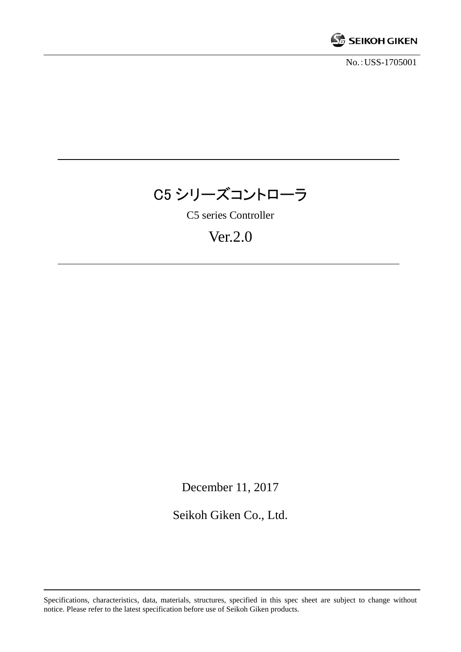

No.:USS-1705001



C5 series Controller

# Ver.2.0

December 11, 2017

Seikoh Giken Co., Ltd.

Specifications, characteristics, data, materials, structures, specified in this spec sheet are subject to change without notice. Please refer to the latest specification before use of Seikoh Giken products.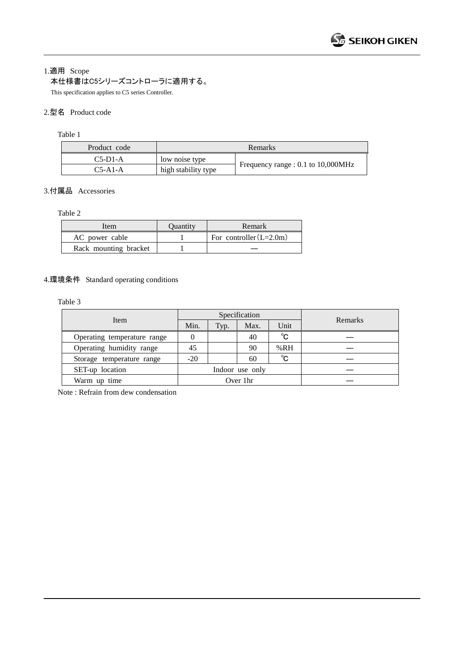1.適用 Scope

本仕様書はC5シリーズコントローラに適用する。

This specification applies to C5 series Controller.

# 2.型名 Product code

Table 1

| Product code | Remarks             |                                    |  |  |
|--------------|---------------------|------------------------------------|--|--|
| $C5-D1-A$    | low noise type      | Frequency range : 0.1 to 10,000MHz |  |  |
| $C5-A1-A$    | high stability type |                                    |  |  |

# 3.付属品 Accessories

Table 2

| Item                  | Ouantity | <b>Remark</b>             |  |
|-----------------------|----------|---------------------------|--|
| AC power cable        |          | For controller $(L=2.0m)$ |  |
| Rack mounting bracket |          |                           |  |

# 4.環境条件 Standard operating conditions

Table 3

|                             | Specification   |      |      |              |         |
|-----------------------------|-----------------|------|------|--------------|---------|
| Item                        | Min.            | Typ. | Max. | Unit         | Remarks |
| Operating temperature range |                 |      | 40   | °C           |         |
| Operating humidity range    | 45              |      | 90   | %RH          |         |
| Storage temperature range   | $-20$           |      | 60   | $^{\circ}$ C |         |
| SET-up location             | Indoor use only |      |      |              |         |
| Warm up time                | Over 1hr        |      |      |              |         |

Note : Refrain from dew condensation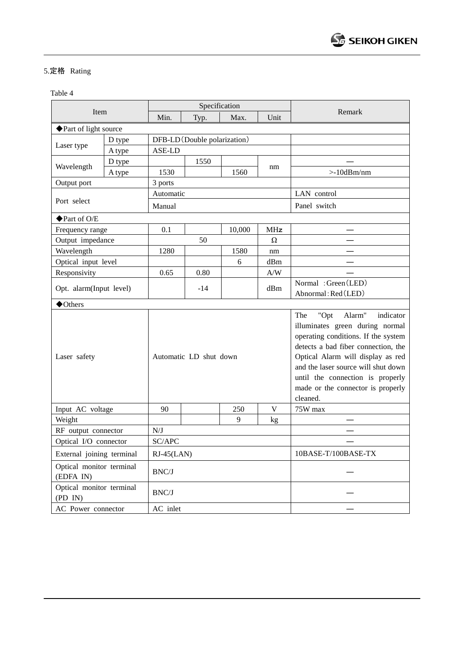# 5.定格 Rating

Table 4

| Item                                  |        | Specification                |       |        |                         |                                                                                                                                                                                                                                                                                                                      |
|---------------------------------------|--------|------------------------------|-------|--------|-------------------------|----------------------------------------------------------------------------------------------------------------------------------------------------------------------------------------------------------------------------------------------------------------------------------------------------------------------|
|                                       |        | Min.                         | Typ.  | Max.   | Unit                    | Remark                                                                                                                                                                                                                                                                                                               |
| ◆ Part of light source                |        |                              |       |        |                         |                                                                                                                                                                                                                                                                                                                      |
| D type                                |        | DFB-LD (Double polarization) |       |        |                         |                                                                                                                                                                                                                                                                                                                      |
| Laser type                            | A type | ASE-LD                       |       |        |                         |                                                                                                                                                                                                                                                                                                                      |
|                                       | D type |                              | 1550  |        |                         |                                                                                                                                                                                                                                                                                                                      |
| Wavelength                            | A type | 1530                         |       | 1560   | nm                      | $>10$ d $Bm/nm$                                                                                                                                                                                                                                                                                                      |
| Output port                           |        | 3 ports                      |       |        |                         |                                                                                                                                                                                                                                                                                                                      |
|                                       |        | Automatic                    |       |        | LAN control             |                                                                                                                                                                                                                                                                                                                      |
| Port select                           |        | Manual                       |       |        | Panel switch            |                                                                                                                                                                                                                                                                                                                      |
| ◆ Part of O/E                         |        |                              |       |        |                         |                                                                                                                                                                                                                                                                                                                      |
| Frequency range                       |        | 0.1                          |       | 10,000 | <b>MHz</b>              |                                                                                                                                                                                                                                                                                                                      |
| Output impedance                      |        | 50<br>$\Omega$               |       |        |                         |                                                                                                                                                                                                                                                                                                                      |
| Wavelength                            |        | 1280                         |       | 1580   | nm                      |                                                                                                                                                                                                                                                                                                                      |
| Optical input level                   |        |                              |       | 6      | dBm                     |                                                                                                                                                                                                                                                                                                                      |
| Responsivity                          |        | 0.65                         | 0.80  |        | $\mathbf{A}/\mathbf{W}$ |                                                                                                                                                                                                                                                                                                                      |
| Opt. alarm(Input level)               |        |                              | $-14$ |        | dBm                     | Normal: Green (LED)                                                                                                                                                                                                                                                                                                  |
|                                       |        |                              |       |        |                         | Abnormal: Red (LED)                                                                                                                                                                                                                                                                                                  |
| $\blacklozenge$ Others                |        |                              |       |        |                         |                                                                                                                                                                                                                                                                                                                      |
| Laser safety                          |        | Automatic LD shut down       |       |        |                         | The<br>"Opt<br>Alarm"<br>indicator<br>illuminates green during normal<br>operating conditions. If the system<br>detects a bad fiber connection, the<br>Optical Alarm will display as red<br>and the laser source will shut down<br>until the connection is properly<br>made or the connector is properly<br>cleaned. |
| Input AC voltage                      |        | 90                           |       | 250    | V                       | 75W max                                                                                                                                                                                                                                                                                                              |
| Weight                                |        |                              |       | 9      | kg                      |                                                                                                                                                                                                                                                                                                                      |
| RF output connector                   |        | N/J                          |       |        |                         |                                                                                                                                                                                                                                                                                                                      |
| Optical I/O connector                 |        | SC/APC                       |       |        |                         |                                                                                                                                                                                                                                                                                                                      |
| External joining terminal             |        | $RJ-45(LAN)$                 |       |        |                         | 10BASE-T/100BASE-TX                                                                                                                                                                                                                                                                                                  |
| Optical monitor terminal<br>(EDFA IN) |        | BNC/J                        |       |        |                         |                                                                                                                                                                                                                                                                                                                      |
| Optical monitor terminal<br>(PD IN)   |        | BNC/J                        |       |        |                         |                                                                                                                                                                                                                                                                                                                      |
| AC Power connector                    |        | AC inlet                     |       |        |                         |                                                                                                                                                                                                                                                                                                                      |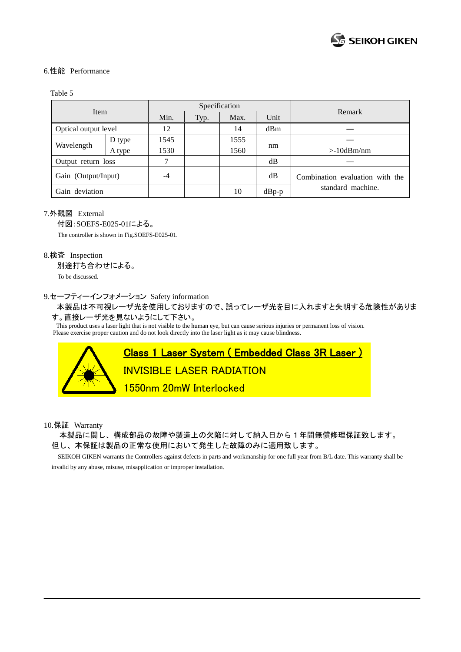#### 6.性能 Performance

#### Table 5

| Item                 |        | Specification |      |      |         |                                 |
|----------------------|--------|---------------|------|------|---------|---------------------------------|
|                      |        | Min.          | Typ. | Max. | Unit    | Remark                          |
| Optical output level |        | 12            |      | 14   | dBm     |                                 |
| Wavelength           | D type | 1545          |      | 1555 | nm      |                                 |
|                      | A type | 1530          |      | 1560 |         | $>10$ dBm/nm                    |
| Output return loss   |        | 7             |      |      | dB      |                                 |
| Gain (Output/Input)  |        | -4            |      |      | dB      | Combination evaluation with the |
| Gain deviation       |        |               |      | 10   | $dBp-p$ | standard machine.               |

#### 7.外観図 External

付図:SOEFS-E025-01による。 The controller is shown in Fig.SOEFS-E025-01.

#### 8.検査 Inspection

別途打ち合わせによる。

To be discussed.

#### 9.セーフティーインフォメーション Safety information

 本製品は不可視レーザ光を使用しておりますので、誤ってレーザ光を目に入れますと失明する危険性がありま す。直接レーザ光を見ないようにして下さい。

This product uses a laser light that is not visible to the human eye, but can cause serious injuries or permanent loss of vision. Please exercise proper caution and do not look directly into the laser light as it may cause blindness.



10.保証 Warranty

本製品に関し、構成部品の故障や製造上の欠陥に対して納入日から1年間無償修理保証致します。 但し、本保証は製品の正常な使用において発生した故障のみに適用致します。

 SEIKOH GIKEN warrants the Controllers against defects in parts and workmanship for one full year from B/L date. This warranty shall be invalid by any abuse, misuse, misapplication or improper installation.